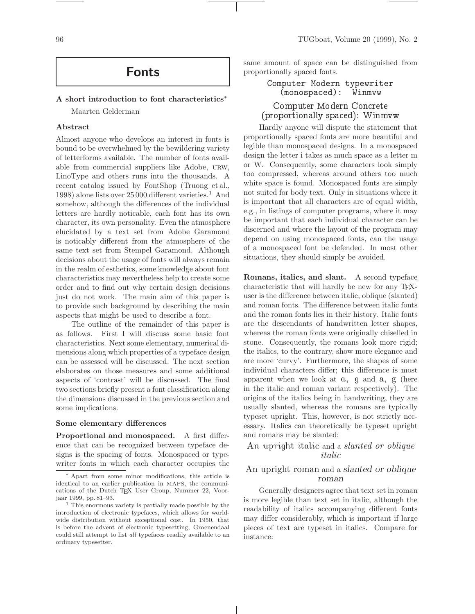# Fonts

#### A short introduction to font characteristics<sup>∗</sup>

Maarten Gelderman

# Abstract

Almost anyone who develops an interest in fonts is bound to be overwhelmed by the bewildering variety of letterforms available. The number of fonts available from commercial suppliers like Adobe, urw, LinoType and others runs into the thousands. A recent catalog issued by FontShop (Truong et al., 1998) alone lists over  $25000$  different varieties.<sup>1</sup> And somehow, although the differences of the individual letters are hardly noticable, each font has its own character, its own personality. Even the atmosphere elucidated by a text set from Adobe Garamond is noticably different from the atmosphere of the same text set from Stempel Garamond. Although decisions about the usage of fonts will always remain in the realm of esthetics, some knowledge about font characteristics may nevertheless help to create some order and to find out why certain design decisions just do not work. The main aim of this paper is to provide such background by describing the main aspects that might be used to describe a font.

The outline of the remainder of this paper is as follows. First I will discuss some basic font characteristics. Next some elementary, numerical dimensions along which properties of a typeface design can be assessed will be discussed. The next section elaborates on those measures and some additional aspects of 'contrast' will be discussed. The final two sections briefly present a font classification along the dimensions discussed in the previous section and some implications.

#### Some elementary differences

Proportional and monospaced. A first difference that can be recognized between typeface designs is the spacing of fonts. Monospaced or typewriter fonts in which each character occupies the same amount of space can be distinguished from proportionally spaced fonts.

> Computer Modern typewriter (monospaced): Winmvw

# Computer Modern Con
rete (proportionally spa
ed): Winmvw

Hardly anyone will dispute the statement that proportionally spaced fonts are more beautiful and legible than monospaced designs. In a monospaced design the letter i takes as much space as a letter m or W. Consequently, some characters look simply too compressed, whereas around others too much white space is found. Monospaced fonts are simply not suited for body text. Only in situations where it is important that all characters are of equal width, e.g., in listings of computer programs, where it may be important that each individual character can be discerned and where the layout of the program may depend on using monospaced fonts, can the usage of a monospaced font be defended. In most other situations, they should simply be avoided.

Romans, italics, and slant. A second typeface characteristic that will hardly be new for any TEXuser is the difference between italic, oblique (slanted) and roman fonts. The difference between italic fonts and the roman fonts lies in their history. Italic fonts are the descendants of handwritten letter shapes, whereas the roman fonts were originally chiselled in stone. Consequently, the romans look more rigid; the italics, to the contrary, show more elegance and are more 'curvy'. Furthermore, the shapes of some individual characters differ; this difference is most apparent when we look at a, g and a, g (here in the italic and roman variant respectively). The origins of the italics being in handwriting, they are usually slanted, whereas the romans are typically typeset upright. This, however, is not strictly necessary. Italics can theoretically be typeset upright and romans may be slanted:

# An upright italic and a *slanted or oblique* italic

# An upright roman and a slanted or oblique roman

Generally designers agree that text set in roman is more legible than text set in italic, although the readability of italics accompanying different fonts may differ considerably, which is important if large pieces of text are typeset in italics. Compare for instance:

<sup>∗</sup> Apart from some minor modifications, this article is identical to an earlier publication in MAPS, the communications of the Dutch TEX User Group, Nummer 22, Voorjaar 1999, pp. 81–93.

<sup>1</sup> This enormous variety is partially made possible by the introduction of electronic typefaces, which allows for worldwide distribution without exceptional cost. In 1950, that is before the advent of electronic typesetting, Groenendaal could still attempt to list all typefaces readily available to an ordinary typesetter.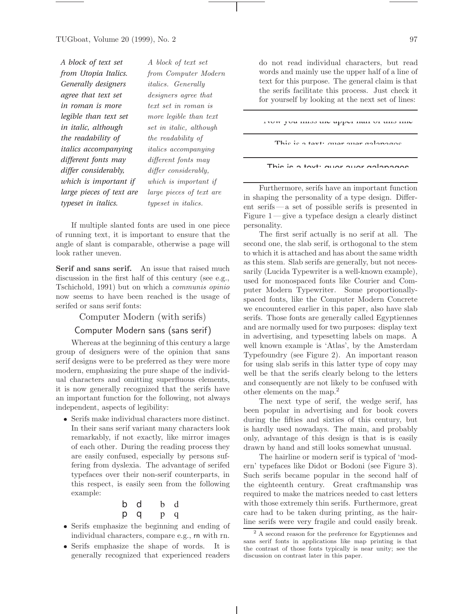| A block of text set      | A block of          |
|--------------------------|---------------------|
| from Utopia Italics.     | from Com            |
| Generally designers      | <i>italics.</i> Ge  |
| agree that text set      | designers           |
| in roman is more         | text set in         |
| legible than text set    | more legib          |
| in italic, although      | set in itali        |
| the readability of       | the readab          |
| italics accompanying     | <i>italics</i> acce |
| different fonts may      | different fo        |
| differ considerably,     | differ cons         |
| which is important if    | which is in         |
| large pieces of text are | large piece         |
| typeset in italics.      | typeset in          |

 $text set$ puter Modern  $i$ erally agree that roman is  $le$  than text  $\epsilon$ , although ility of  $impanying$ onts may  $identity,$ mportant if s of text are *italics*.

If multiple slanted fonts are used in one piece of running text, it is important to ensure that the angle of slant is comparable, otherwise a page will look rather uneven.

Serif and sans serif. An issue that raised much discussion in the first half of this century (see e.g., Tschichold, 1991) but on which a communis opinio now seems to have been reached is the usage of serifed or sans serif fonts:

Computer Modern (with serifs)

# Computer Modern sans (sans serif)

Whereas at the beginning of this century a large group of designers were of the opinion that sans serif designs were to be preferred as they were more modern, emphasizing the pure shape of the individual characters and omitting superfluous elements, it is now generally recognized that the serifs have an important function for the following, not always independent, aspects of legibility:

 Serifs make individual characters more distinct. In their sans serif variant many characters look remarkably, if not exactly, like mirror images of each other. During the reading process they are easily confused, especially by persons suffering from dyslexia. The advantage of serifed typefaces over their non-serif counterparts, in this respect, is easily seen from the following example:

$$
\begin{array}{cccc}\nb & d & b & d \\
p & q & p & q\n\end{array}
$$

- Serifs emphasize the beginning and ending of individual characters, compare e.g., rn with rn.
- Serifs emphasize the shape of words. It is generally recognized that experienced readers

do not read individual characters, but read words and mainly use the upper half of a line of text for this purpose. The general claim is that the serifs facilitate this process. Just check it for yourself by looking at the next set of lines:

Now you miss the upper half of this line

This is a taxty quar quar galapagos

|  |  |  | This is a toyte quor quor anlangance |
|--|--|--|--------------------------------------|
|  |  |  |                                      |

Furthermore, serifs have an important function in shaping the personality of a type design. Different serifs— a set of possible serifs is presented in Figure 1— give a typeface design a clearly distinct personality.

The first serif actually is no serif at all. The second one, the slab serif, is orthogonal to the stem to which it is attached and has about the same width as this stem. Slab serifs are generally, but not necessarily (Lucida Typewriter is a well-known example), used for monospaced fonts like Courier and Computer Modern Typewriter. Some proportionallyspaced fonts, like the Computer Modern Concrete we encountered earlier in this paper, also have slab serifs. Those fonts are generally called Egyptiennes and are normally used for two purposes: display text in advertising, and typesetting labels on maps. A well known example is 'Atlas', by the Amsterdam Typefoundry (see Figure 2). An important reason for using slab serifs in this latter type of copy may well be that the serifs clearly belong to the letters and consequently are not likely to be confused with other elements on the map.<sup>2</sup>

The next type of serif, the wedge serif, has been popular in advertising and for book covers during the fifties and sixties of this century, but is hardly used nowadays. The main, and probably only, advantage of this design is that is is easily drawn by hand and still looks somewhat unusual.

The hairline or modern serif is typical of 'modern' typefaces like Didot or Bodoni (see Figure 3). Such serifs became popular in the second half of the eighteenth century. Great craftmanship was required to make the matrices needed to cast letters with those extremely thin serifs. Furthermore, great care had to be taken during printing, as the hairline serifs were very fragile and could easily break.

<sup>2</sup> A second reason for the preference for Egyptiennes and sans serif fonts in applications like map printing is that the contrast of those fonts typically is near unity; see the discussion on contrast later in this paper.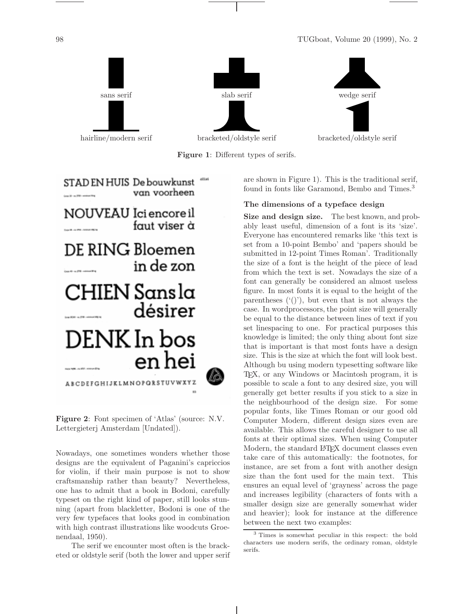

Figure 1: Different types of serifs.



Figure 2: Font specimen of 'Atlas' (source: N.V. Lettergieterj Amsterdam [Undated]).

Nowadays, one sometimes wonders whether those designs are the equivalent of Paganini's capriccios for violin, if their main purpose is not to show craftsmanship rather than beauty? Nevertheless, one has to admit that a book in Bodoni, carefully typeset on the right kind of paper, still looks stunning (apart from blackletter, Bodoni is one of the very few typefaces that looks good in combination with high contrast illustrations like woodcuts Groenendaal, 1950).

The serif we encounter most often is the bracketed or oldstyle serif (both the lower and upper serif are shown in Figure 1). This is the traditional serif, found in fonts like Garamond, Bembo and Times.<sup>3</sup>

# The dimensions of a typeface design

Size and design size. The best known, and probably least useful, dimension of a font is its 'size'. Everyone has encountered remarks like 'this text is set from a 10-point Bembo' and 'papers should be submitted in 12-point Times Roman'. Traditionally the size of a font is the height of the piece of lead from which the text is set. Nowadays the size of a font can generally be considered an almost useless figure. In most fonts it is equal to the height of the parentheses  $(1)$ , but even that is not always the case. In wordprocessors, the point size will generally be equal to the distance between lines of text if you set linespacing to one. For practical purposes this knowledge is limited; the only thing about font size that is important is that most fonts have a design size. This is the size at which the font will look best. Although bu using modern typesetting software like TEX, or any Windows or Macintosh program, it is possible to scale a font to any desired size, you will generally get better results if you stick to a size in the neighbourhood of the design size. For some popular fonts, like Times Roman or our good old Computer Modern, different design sizes even are available. This allows the careful designer to use all fonts at their optimal sizes. When using Computer Modern, the standard L<sup>AT</sup>FX document classes even take care of this automatically: the footnotes, for instance, are set from a font with another design size than the font used for the main text. This ensures an equal level of 'grayness' across the page and increases legibility (characters of fonts with a smaller design size are generally somewhat wider and heavier); look for instance at the difference between the next two examples:

<sup>3</sup> Times is somewhat peculiar in this respect: the bold characters use modern serifs, the ordinary roman, oldstyle serifs.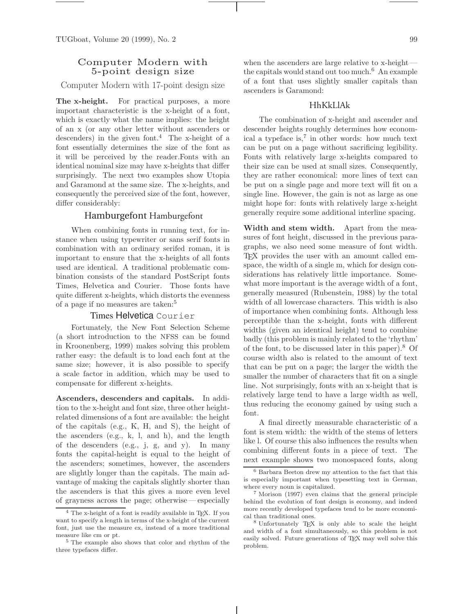# Computer Modern with 5-point design size

Computer Modern with 17-point design size

The x-height. For practical purposes, a more important characteristic is the x-height of a font, which is exactly what the name implies: the height of an x (or any other letter without ascenders or descenders) in the given font.<sup>4</sup> The x-height of a font essentially determines the size of the font as it will be perceived by the reader.Fonts with an identical nominal size may have x-heights that differ surprisingly. The next two examples show Utopia and Garamond at the same size. The x-heights, and consequently the perceived size of the font, however, differ considerably:

# Hamburgefont Hamburgefont

When combining fonts in running text, for instance when using typewriter or sans serif fonts in combination with an ordinary serifed roman, it is important to ensure that the x-heights of all fonts used are identical. A traditional problematic combination consists of the standard PostScript fonts Times, Helvetica and Courier. Those fonts have quite different x-heights, which distorts the evenness of a page if no measures are taken:<sup>5</sup>

# Times Helvetica Courier

Fortunately, the New Font Selection Scheme (a short introduction to the NFSS can be found in Kroonenberg, 1999) makes solving this problem rather easy: the default is to load each font at the same size; however, it is also possible to specify a scale factor in addition, which may be used to compensate for different x-heights.

Ascenders, descenders and capitals. In addition to the x-height and font size, three other heightrelated dimensions of a font are available: the height of the capitals (e.g., K, H, and S), the height of the ascenders (e.g., k, l, and h), and the length of the descenders (e.g., j, g, and y). In many fonts the capital-height is equal to the height of the ascenders; sometimes, however, the ascenders are slightly longer than the capitals. The main advantage of making the capitals slightly shorter than the ascenders is that this gives a more even level of grayness across the page; otherwise— especially

when the ascenders are large relative to x-height the capitals would stand out too much.<sup>6</sup> An example of a font that uses slightly smaller capitals than ascenders is Garamond:

# HhKkLlAk

The combination of x-height and ascender and descender heights roughly determines how economical a typeface is,<sup>7</sup> in other words: how much text can be put on a page without sacrificing legibility. Fonts with relatively large x-heights compared to their size can be used at small sizes. Consequently, they are rather economical: more lines of text can be put on a single page and more text will fit on a single line. However, the gain is not as large as one might hope for: fonts with relatively large x-height generally require some additional interline spacing.

Width and stem width. Apart from the measures of font height, discussed in the previous paragraphs, we also need some measure of font width. T<sub>EX</sub> provides the user with an amount called emspace, the width of a single m, which for design considerations has relatively little importance. Somewhat more important is the average width of a font, generally measured (Rubenstein, 1988) by the total width of all lowercase characters. This width is also of importance when combining fonts. Although less perceptible than the x-height, fonts with different widths (given an identical height) tend to combine badly (this problem is mainly related to the 'rhythm' of the font, to be discussed later in this paper).<sup>8</sup> Of course width also is related to the amount of text that can be put on a page; the larger the width the smaller the number of characters that fit on a single line. Not surprisingly, fonts with an x-height that is relatively large tend to have a large width as well, thus reducing the economy gained by using such a font.

A final directly measurable characteristic of a font is stem width: the width of the stems of letters like l. Of course this also influences the results when combining different fonts in a piece of text. The next example shows two monospaced fonts, along

<sup>&</sup>lt;sup>4</sup> The x-height of a font is readily available in T<sub>E</sub>X. If you want to specify a length in terms of the x-height of the current font, just use the measure ex, instead of a more traditional measure like cm or pt.

<sup>5</sup> The example also shows that color and rhythm of the three typefaces differ.

 $6$  Barbara Beeton drew my attention to the fact that this is especially important when typesetting text in German, where every noun is capitalized.

<sup>7</sup> Morison (1997) even claims that the general principle behind the evolution of font design is economy, and indeed more recently developed typefaces tend to be more economical than traditional ones.

<sup>8</sup> Unfortunately TEX is only able to scale the height and width of a font simultaneously, so this problem is not easily solved. Future generations of TEX may well solve this problem.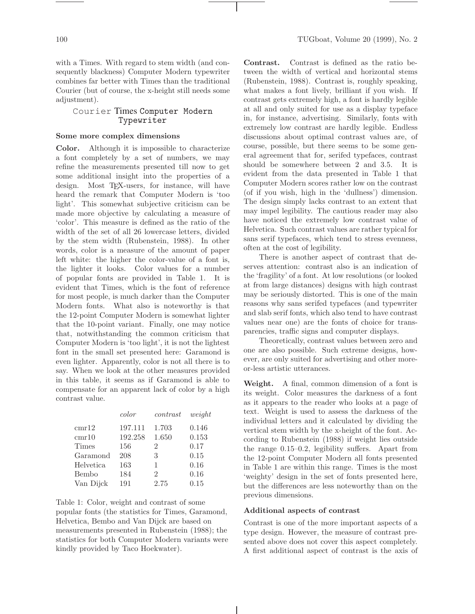with a Times. With regard to stem width (and consequently blackness) Computer Modern typewriter combines far better with Times than the traditional Courier (but of course, the x-height still needs some adjustment).

# Courier Times Computer Modern Typewriter

## Some more complex dimensions

Color. Although it is impossible to characterize a font completely by a set of numbers, we may refine the measurements presented till now to get some additional insight into the properties of a design. Most TEX-users, for instance, will have heard the remark that Computer Modern is 'too light'. This somewhat subjective criticism can be made more objective by calculating a measure of 'color'. This measure is defined as the ratio of the width of the set of all 26 lowercase letters, divided by the stem width (Rubenstein, 1988). In other words, color is a measure of the amount of paper left white: the higher the color-value of a font is, the lighter it looks. Color values for a number of popular fonts are provided in Table 1. It is evident that Times, which is the font of reference for most people, is much darker than the Computer Modern fonts. What also is noteworthy is that the 12-point Computer Modern is somewhat lighter that the 10-point variant. Finally, one may notice that, notwithstanding the common criticism that Computer Modern is 'too light', it is not the lightest font in the small set presented here: Garamond is even lighter. Apparently, color is not all there is to say. When we look at the other measures provided in this table, it seems as if Garamond is able to compensate for an apparent lack of color by a high contrast value.

|                  | color   | contrast       | weight |
|------------------|---------|----------------|--------|
| cmr12            | 197.111 | 1.703          | 0.146  |
| $\mathrm{cmr10}$ | 192.258 | 1.650          | 0.153  |
| Times            | 156     | 2              | 0.17   |
| Garamond         | 208     | 3              | 0.15   |
| Helvetica        | 163     | 1              | 0.16   |
| Bembo            | 184     | $\overline{2}$ | 0.16   |
| Van Dijck        | 191     | 2.75           | 0.15   |

Table 1: Color, weight and contrast of some popular fonts (the statistics for Times, Garamond, Helvetica, Bembo and Van Dijck are based on measurements presented in Rubenstein (1988); the statistics for both Computer Modern variants were kindly provided by Taco Hoekwater).

Contrast. Contrast is defined as the ratio between the width of vertical and horizontal stems (Rubenstein, 1988). Contrast is, roughly speaking, what makes a font lively, brilliant if you wish. If contrast gets extremely high, a font is hardly legible at all and only suited for use as a display typeface in, for instance, advertising. Similarly, fonts with extremely low contrast are hardly legible. Endless discussions about optimal contrast values are, of course, possible, but there seems to be some general agreement that for, serifed typefaces, contrast should be somewhere between 2 and 3.5. It is evident from the data presented in Table 1 that Computer Modern scores rather low on the contrast (of if you wish, high in the 'dullness') dimension. The design simply lacks contrast to an extent that may impel legibility. The cautious reader may also have noticed the extremely low contrast value of Helvetica. Such contrast values are rather typical for sans serif typefaces, which tend to stress evenness, often at the cost of legibility.

There is another aspect of contrast that deserves attention: contrast also is an indication of the 'fragility' of a font. At low resolutions (or looked at from large distances) designs with high contrast may be seriously distorted. This is one of the main reasons why sans serifed typefaces (and typewriter and slab serif fonts, which also tend to have contrast values near one) are the fonts of choice for transparencies, traffic signs and computer displays.

Theoretically, contrast values between zero and one are also possible. Such extreme designs, however, are only suited for advertising and other moreor-less artistic utterances.

Weight. A final, common dimension of a font is its weight. Color measures the darkness of a font as it appears to the reader who looks at a page of text. Weight is used to assess the darkness of the individual letters and it calculated by dividing the vertical stem width by the x-height of the font. According to Rubenstein (1988) if weight lies outside the range 0.15–0.2, legibility suffers. Apart from the 12-point Computer Modern all fonts presented in Table 1 are within this range. Times is the most 'weighty' design in the set of fonts presented here, but the differences are less noteworthy than on the previous dimensions.

## Additional aspects of contrast

Contrast is one of the more important aspects of a type design. However, the measure of contrast presented above does not cover this aspect completely. A first additional aspect of contrast is the axis of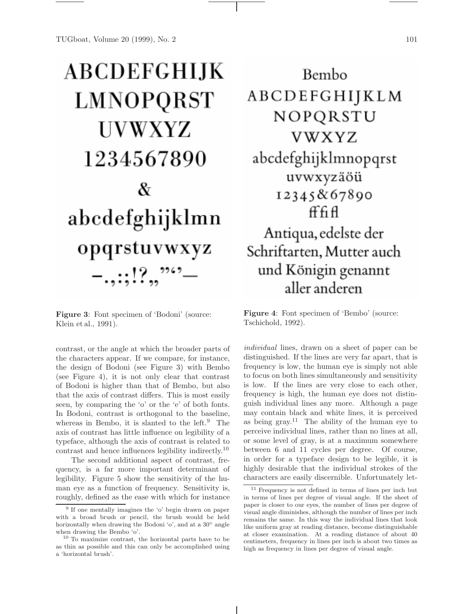# **ABCDEFGHIJK** LMNOPQRST UVWXYZ 1234567890 & abcdefghijklmn opqrstuvwxyz  $-...$ ::!?..<sup>??4?</sup>-

Figure 3: Font specimen of 'Bodoni' (source: Klein et al., 1991).

contrast, or the angle at which the broader parts of the characters appear. If we compare, for instance, the design of Bodoni (see Figure 3) with Bembo (see Figure 4), it is not only clear that contrast of Bodoni is higher than that of Bembo, but also that the axis of contrast differs. This is most easily seen, by comparing the 'o' or the 'e' of both fonts. In Bodoni, contrast is orthogonal to the baseline, whereas in Bembo, it is slanted to the left. $9$  The axis of contrast has little influence on legibility of a typeface, although the axis of contrast is related to contrast and hence influences legibility indirectly.<sup>10</sup>

The second additional aspect of contrast, frequency, is a far more important determinant of legibility. Figure 5 show the sensitivity of the human eye as a function of frequency. Sensitivity is, roughly, defined as the ease with which for instance

Bembo ABCDEFGHIJKLM NOPQRSTU **VWXYZ** abcdefghijklmnopqrst uvwxyzäöü 12345&67890 ff fi fl Antiqua, edelste der Schriftarten, Mutter auch und Königin genannt

Figure 4: Font specimen of 'Bembo' (source: Tschichold, 1992).

aller anderen

individual lines, drawn on a sheet of paper can be distinguished. If the lines are very far apart, that is frequency is low, the human eye is simply not able to focus on both lines simultaneously and sensitivity is low. If the lines are very close to each other, frequency is high, the human eye does not distinguish individual lines any more. Although a page may contain black and white lines, it is perceived as being  $\text{gray}.^{11}$  The ability of the human eye to perceive individual lines, rather than no lines at all, or some level of gray, is at a maximum somewhere between 6 and 11 cycles per degree. Of course, in order for a typeface design to be legible, it is highly desirable that the individual strokes of the characters are easily discernible. Unfortunately let-

<sup>&</sup>lt;sup>9</sup> If one mentally imagines the 'o' begin drawn on paper with a broad brush or pencil, the brush would be held horizontally when drawing the Bodoni 'o', and at a 30◦ angle when drawing the Bembo 'o'.

<sup>10</sup> To maximize contrast, the horizontal parts have to be as thin as possible and this can only be accomplished using a 'horizontal brush'.

<sup>11</sup> Frequency is not defined in terms of lines per inch but in terms of lines per degree of visual angle. If the sheet of paper is closer to our eyes, the number of lines per degree of visual angle diminishes, although the number of lines per inch remains the same. In this way the individual lines that look like uniform gray at reading distance, become distinguishable at closer examination. At a reading distance of about 40 centimeters, frequency in lines per inch is about two times as high as frequency in lines per degree of visual angle.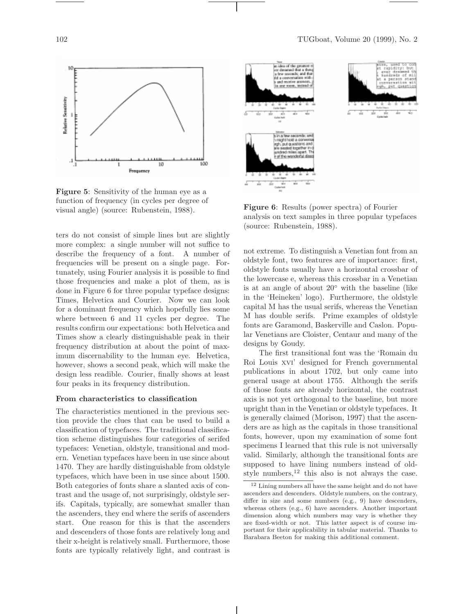

Figure 5: Sensitivity of the human eye as a function of frequency (in cycles per degree of visual angle) (source: Rubenstein, 1988).

ters do not consist of simple lines but are slightly more complex: a single number will not suffice to describe the frequency of a font. A number of frequencies will be present on a single page. Fortunately, using Fourier analysis it is possible to find those frequencies and make a plot of them, as is done in Figure 6 for three popular typeface designs: Times, Helvetica and Courier. Now we can look for a dominant frequency which hopefully lies some where between 6 and 11 cycles per degree. The results confirm our expectations: both Helvetica and Times show a clearly distinguishable peak in their frequency distribution at about the point of maximum discernability to the human eye. Helvetica, however, shows a second peak, which will make the design less readible. Courier, finally shows at least four peaks in its frequency distribution.

#### From characteristics to classification

The characteristics mentioned in the previous section provide the clues that can be used to build a classification of typefaces. The traditional classification scheme distinguishes four categories of serifed typefaces: Venetian, oldstyle, transitional and modern. Venetian typefaces have been in use since about 1470. They are hardly distinguishable from oldstyle typefaces, which have been in use since about 1500. Both categories of fonts share a slanted axis of contrast and the usage of, not surprisingly, oldstyle serifs. Capitals, typically, are somewhat smaller than the ascenders, they end where the serifs of ascenders start. One reason for this is that the ascenders and descenders of those fonts are relatively long and their x-height is relatively small. Furthermore, those fonts are typically relatively light, and contrast is



Figure 6: Results (power spectra) of Fourier analysis on text samples in three popular typefaces (source: Rubenstein, 1988).

not extreme. To distinguish a Venetian font from an oldstyle font, two features are of importance: first, oldstyle fonts usually have a horizontal crossbar of the lowercase e, whereas this crossbar in a Venetian is at an angle of about 20◦ with the baseline (like in the 'Heineken' logo). Furthermore, the oldstyle capital M has the usual serifs, whereas the Venetian M has double serifs. Prime examples of oldstyle fonts are Garamond, Baskerville and Caslon. Popular Venetians are Cloister, Centaur and many of the designs by Goudy.

The first transitional font was the 'Romain du Roi Louis xvi' designed for French governmental publications in about 1702, but only came into general usage at about 1755. Although the serifs of those fonts are already horizontal, the contrast axis is not yet orthogonal to the baseline, but more upright than in the Venetian or oldstyle typefaces. It is generally claimed (Morison, 1997) that the ascenders are as high as the capitals in those transitional fonts, however, upon my examination of some font specimens I learned that this rule is not universally valid. Similarly, although the transitional fonts are supposed to have lining numbers instead of oldstyle numbers, $12$  this also is not always the case.

<sup>12</sup> Lining numbers all have the same height and do not have ascenders and descenders. Oldstyle numbers, on the contrary, differ in size and some numbers (e.g., 9) have descenders, whereas others (e.g., 6) have ascenders. Another important dimension along which numbers may vary is whether they are fixed-width or not. This latter aspect is of course important for their applicability in tabular material. Thanks to Barabara Beeton for making this additional comment.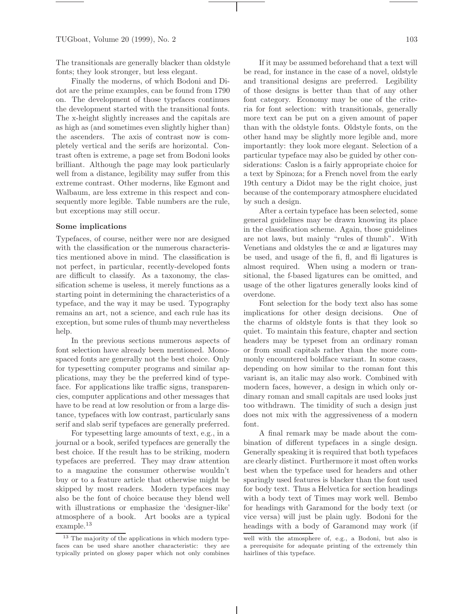The transitionals are generally blacker than oldstyle fonts; they look stronger, but less elegant.

Finally the moderns, of which Bodoni and Didot are the prime examples, can be found from 1790 on. The development of those typefaces continues the development started with the transitional fonts. The x-height slightly increases and the capitals are as high as (and sometimes even slightly higher than) the ascenders. The axis of contrast now is completely vertical and the serifs are horizontal. Contrast often is extreme, a page set from Bodoni looks brilliant. Although the page may look particularly well from a distance, legibility may suffer from this extreme contrast. Other moderns, like Egmont and Walbaum, are less extreme in this respect and consequently more legible. Table numbers are the rule, but exceptions may still occur.

#### Some implications

Typefaces, of course, neither were nor are designed with the classification or the numerous characteristics mentioned above in mind. The classification is not perfect, in particular, recently-developed fonts are difficult to classify. As a taxonomy, the classification scheme is useless, it merely functions as a starting point in determining the characteristics of a typeface, and the way it may be used. Typography remains an art, not a science, and each rule has its exception, but some rules of thumb may nevertheless help.

In the previous sections numerous aspects of font selection have already been mentioned. Monospaced fonts are generally not the best choice. Only for typesetting computer programs and similar applications, may they be the preferred kind of typeface. For applications like traffic signs, transparencies, computer applications and other messages that have to be read at low resolution or from a large distance, typefaces with low contrast, particularly sans serif and slab serif typefaces are generally preferred.

For typesetting large amounts of text, e.g., in a journal or a book, serifed typefaces are generally the best choice. If the result has to be striking, modern typefaces are preferred. They may draw attention to a magazine the consumer otherwise wouldn't buy or to a feature article that otherwise might be skipped by most readers. Modern typefaces may also be the font of choice because they blend well with illustrations or emphasize the 'designer-like' atmosphere of a book. Art books are a typical example.<sup>13</sup>

If it may be assumed beforehand that a text will be read, for instance in the case of a novel, oldstyle and transitional designs are preferred. Legibility of those designs is better than that of any other font category. Economy may be one of the criteria for font selection: with transitionals, generally more text can be put on a given amount of paper than with the oldstyle fonts. Oldstyle fonts, on the other hand may be slightly more legible and, more importantly: they look more elegant. Selection of a particular typeface may also be guided by other considerations: Caslon is a fairly appropriate choice for a text by Spinoza; for a French novel from the early 19th century a Didot may be the right choice, just because of the contemporary atmosphere elucidated by such a design.

After a certain typeface has been selected, some general guidelines may be drawn knowing its place in the classification scheme. Again, those guidelines are not laws, but mainly "rules of thumb". With Venetians and oldstyles the œ and æ ligatures may be used, and usage of the fi, fl, and fli ligatures is almost required. When using a modern or transitional, the f-based ligatures can be omitted, and usage of the other ligatures generally looks kind of overdone.

Font selection for the body text also has some implications for other design decisions. One of the charms of oldstyle fonts is that they look so quiet. To maintain this feature, chapter and section headers may be typeset from an ordinary roman or from small capitals rather than the more commonly encountered boldface variant. In some cases, depending on how similar to the roman font this variant is, an italic may also work. Combined with modern faces, however, a design in which only ordinary roman and small capitals are used looks just too withdrawn. The timidity of such a design just does not mix with the aggressiveness of a modern font.

A final remark may be made about the combination of different typefaces in a single design. Generally speaking it is required that both typefaces are clearly distinct. Furthermore it most often works best when the typeface used for headers and other sparingly used features is blacker than the font used for body text. Thus a Helvetica for section headings with a body text of Times may work well. Bembo for headings with Garamond for the body text (or vice versa) will just be plain ugly. Bodoni for the headings with a body of Garamond may work (if

<sup>&</sup>lt;sup>13</sup> The majority of the applications in which modern typefaces can be used share another characteristic: they are typically printed on glossy paper which not only combines

well with the atmosphere of, e.g., a Bodoni, but also is a prerequisite for adequate printing of the extremely thin hairlines of this typeface.